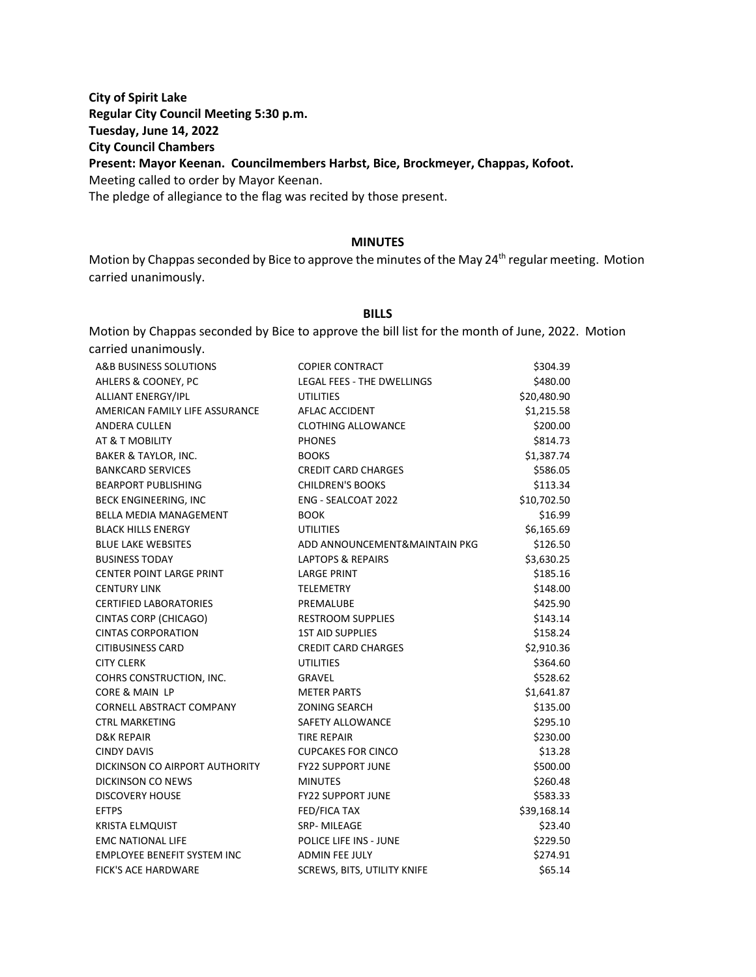**City of Spirit Lake Regular City Council Meeting 5:30 p.m. Tuesday, June 14, 2022 City Council Chambers Present: Mayor Keenan. Councilmembers Harbst, Bice, Brockmeyer, Chappas, Kofoot.** Meeting called to order by Mayor Keenan. The pledge of allegiance to the flag was recited by those present.

#### **MINUTES**

Motion by Chappas seconded by Bice to approve the minutes of the May 24<sup>th</sup> regular meeting. Motion carried unanimously.

### **BILLS**

Motion by Chappas seconded by Bice to approve the bill list for the month of June, 2022. Motion carried unanimously.

| A&B BUSINESS SOLUTIONS             | <b>COPIER CONTRACT</b>            | \$304.39    |
|------------------------------------|-----------------------------------|-------------|
| AHLERS & COONEY, PC                | <b>LEGAL FEES - THE DWELLINGS</b> | \$480.00    |
| <b>ALLIANT ENERGY/IPL</b>          | <b>UTILITIES</b>                  | \$20,480.90 |
| AMERICAN FAMILY LIFE ASSURANCE     | AFLAC ACCIDENT                    | \$1,215.58  |
| ANDERA CULLEN                      | <b>CLOTHING ALLOWANCE</b>         | \$200.00    |
| AT & T MOBILITY                    | <b>PHONES</b>                     | \$814.73    |
| <b>BAKER &amp; TAYLOR, INC.</b>    | <b>BOOKS</b>                      | \$1,387.74  |
| <b>BANKCARD SERVICES</b>           | <b>CREDIT CARD CHARGES</b>        | \$586.05    |
| <b>BEARPORT PUBLISHING</b>         | <b>CHILDREN'S BOOKS</b>           | \$113.34    |
| BECK ENGINEERING, INC              | <b>ENG - SEALCOAT 2022</b>        | \$10,702.50 |
| <b>BELLA MEDIA MANAGEMENT</b>      | <b>BOOK</b>                       | \$16.99     |
| <b>BLACK HILLS ENERGY</b>          | <b>UTILITIES</b>                  | \$6,165.69  |
| <b>BLUE LAKE WEBSITES</b>          | ADD ANNOUNCEMENT&MAINTAIN PKG     | \$126.50    |
| <b>BUSINESS TODAY</b>              | <b>LAPTOPS &amp; REPAIRS</b>      | \$3,630.25  |
| <b>CENTER POINT LARGE PRINT</b>    | <b>LARGE PRINT</b>                | \$185.16    |
| <b>CENTURY LINK</b>                | <b>TELEMETRY</b>                  | \$148.00    |
| <b>CERTIFIED LABORATORIES</b>      | PREMALUBE                         | \$425.90    |
| CINTAS CORP (CHICAGO)              | <b>RESTROOM SUPPLIES</b>          | \$143.14    |
| <b>CINTAS CORPORATION</b>          | <b>1ST AID SUPPLIES</b>           | \$158.24    |
| <b>CITIBUSINESS CARD</b>           | <b>CREDIT CARD CHARGES</b>        | \$2,910.36  |
| <b>CITY CLERK</b>                  | <b>UTILITIES</b>                  | \$364.60    |
| COHRS CONSTRUCTION, INC.           | <b>GRAVEL</b>                     | \$528.62    |
| CORE & MAIN LP                     | <b>METER PARTS</b>                | \$1,641.87  |
| CORNELL ABSTRACT COMPANY           | <b>ZONING SEARCH</b>              | \$135.00    |
| <b>CTRL MARKETING</b>              | SAFETY ALLOWANCE                  | \$295.10    |
| <b>D&amp;K REPAIR</b>              | <b>TIRE REPAIR</b>                | \$230.00    |
| <b>CINDY DAVIS</b>                 | <b>CUPCAKES FOR CINCO</b>         | \$13.28     |
| DICKINSON CO AIRPORT AUTHORITY     | <b>FY22 SUPPORT JUNE</b>          | \$500.00    |
| <b>DICKINSON CO NEWS</b>           | <b>MINUTES</b>                    | \$260.48    |
| <b>DISCOVERY HOUSE</b>             | <b>FY22 SUPPORT JUNE</b>          | \$583.33    |
| <b>EFTPS</b>                       | FED/FICA TAX                      | \$39,168.14 |
| <b>KRISTA ELMQUIST</b>             | SRP-MILEAGE                       | \$23.40     |
| <b>EMC NATIONAL LIFE</b>           | POLICE LIFE INS - JUNE            | \$229.50    |
| <b>EMPLOYEE BENEFIT SYSTEM INC</b> | <b>ADMIN FEE JULY</b>             | \$274.91    |
| <b>FICK'S ACE HARDWARE</b>         | SCREWS, BITS, UTILITY KNIFE       | \$65.14     |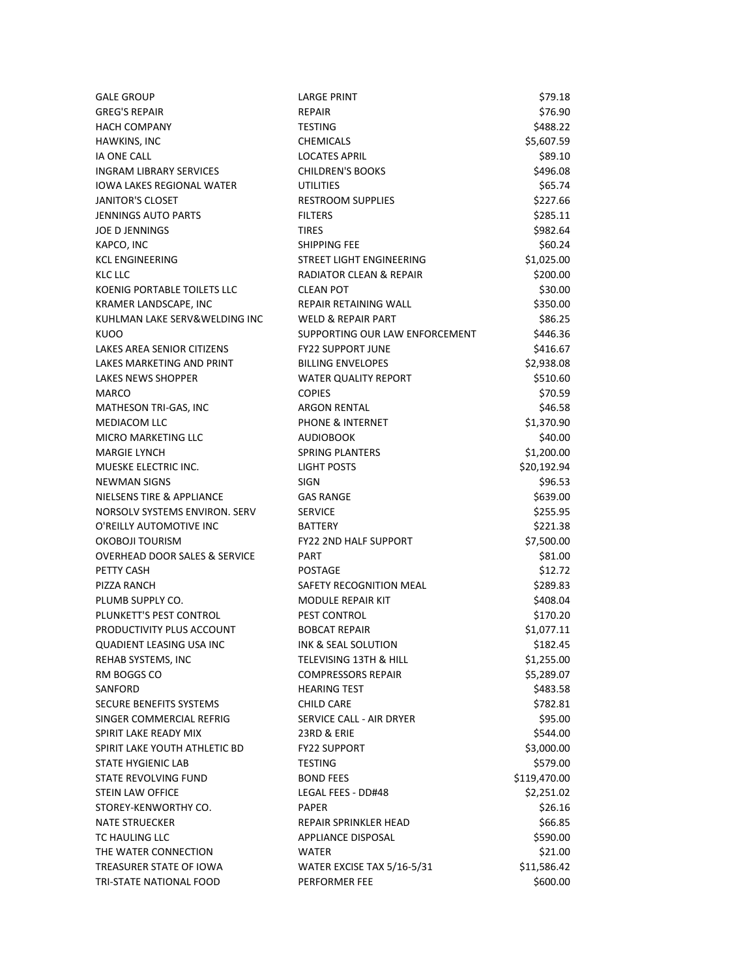| <b>GALE GROUP</b>                        | <b>LARGE PRINT</b>              | \$79.18      |
|------------------------------------------|---------------------------------|--------------|
| <b>GREG'S REPAIR</b>                     | <b>REPAIR</b>                   | \$76.90      |
| <b>HACH COMPANY</b>                      | <b>TESTING</b>                  | \$488.22     |
| HAWKINS, INC                             | <b>CHEMICALS</b>                | \$5,607.59   |
| <b>IA ONE CALL</b>                       | <b>LOCATES APRIL</b>            | \$89.10      |
| <b>INGRAM LIBRARY SERVICES</b>           | <b>CHILDREN'S BOOKS</b>         | \$496.08     |
| <b>IOWA LAKES REGIONAL WATER</b>         | <b>UTILITIES</b>                | \$65.74      |
| <b>JANITOR'S CLOSET</b>                  | <b>RESTROOM SUPPLIES</b>        | \$227.66     |
| <b>JENNINGS AUTO PARTS</b>               | <b>FILTERS</b>                  | \$285.11     |
| <b>JOE D JENNINGS</b>                    | <b>TIRES</b>                    | \$982.64     |
| KAPCO, INC                               | <b>SHIPPING FEE</b>             | \$60.24      |
| <b>KCL ENGINEERING</b>                   | <b>STREET LIGHT ENGINEERING</b> | \$1,025.00   |
| KLC LLC                                  | RADIATOR CLEAN & REPAIR         | \$200.00     |
| KOENIG PORTABLE TOILETS LLC              | <b>CLEAN POT</b>                | \$30.00      |
| KRAMER LANDSCAPE, INC                    | REPAIR RETAINING WALL           | \$350.00     |
| KUHLMAN LAKE SERV&WELDING INC            | <b>WELD &amp; REPAIR PART</b>   | \$86.25      |
| <b>KUOO</b>                              | SUPPORTING OUR LAW ENFORCEMENT  | \$446.36     |
| LAKES AREA SENIOR CITIZENS               | <b>FY22 SUPPORT JUNE</b>        | \$416.67     |
| LAKES MARKETING AND PRINT                | <b>BILLING ENVELOPES</b>        | \$2,938.08   |
| <b>LAKES NEWS SHOPPER</b>                | <b>WATER QUALITY REPORT</b>     | \$510.60     |
| MARCO                                    | <b>COPIES</b>                   | \$70.59      |
| MATHESON TRI-GAS, INC                    | <b>ARGON RENTAL</b>             | \$46.58      |
| <b>MEDIACOM LLC</b>                      | <b>PHONE &amp; INTERNET</b>     | \$1,370.90   |
| MICRO MARKETING LLC                      | <b>AUDIOBOOK</b>                | \$40.00      |
| <b>MARGIE LYNCH</b>                      | <b>SPRING PLANTERS</b>          | \$1,200.00   |
| MUESKE ELECTRIC INC.                     | LIGHT POSTS                     | \$20,192.94  |
| <b>NEWMAN SIGNS</b>                      | <b>SIGN</b>                     | \$96.53      |
| NIELSENS TIRE & APPLIANCE                | <b>GAS RANGE</b>                | \$639.00     |
| NORSOLV SYSTEMS ENVIRON. SERV            | <b>SERVICE</b>                  | \$255.95     |
| O'REILLY AUTOMOTIVE INC                  | <b>BATTERY</b>                  | \$221.38     |
| OKOBOJI TOURISM                          | <b>FY22 2ND HALF SUPPORT</b>    | \$7,500.00   |
| <b>OVERHEAD DOOR SALES &amp; SERVICE</b> | <b>PART</b>                     | \$81.00      |
| PETTY CASH                               | <b>POSTAGE</b>                  | \$12.72      |
| PIZZA RANCH                              | SAFETY RECOGNITION MEAL         | \$289.83     |
| PLUMB SUPPLY CO.                         | MODULE REPAIR KIT               | \$408.04     |
| PLUNKETT'S PEST CONTROL                  | PEST CONTROL                    | \$170.20     |
| PRODUCTIVITY PLUS ACCOUNT                | <b>BOBCAT REPAIR</b>            | \$1,077.11   |
| QUADIENT LEASING USA INC                 | INK & SEAL SOLUTION             | \$182.45     |
| REHAB SYSTEMS, INC                       | TELEVISING 13TH & HILL          | \$1,255.00   |
| RM BOGGS CO                              | <b>COMPRESSORS REPAIR</b>       | \$5,289.07   |
| SANFORD                                  | <b>HEARING TEST</b>             | \$483.58     |
| SECURE BENEFITS SYSTEMS                  | <b>CHILD CARE</b>               | \$782.81     |
| SINGER COMMERCIAL REFRIG                 | SERVICE CALL - AIR DRYER        | \$95.00      |
| SPIRIT LAKE READY MIX                    | 23RD & ERIE                     | \$544.00     |
| SPIRIT LAKE YOUTH ATHLETIC BD            | <b>FY22 SUPPORT</b>             | \$3,000.00   |
| STATE HYGIENIC LAB                       | <b>TESTING</b>                  | \$579.00     |
| STATE REVOLVING FUND                     | <b>BOND FEES</b>                | \$119,470.00 |
| <b>STEIN LAW OFFICE</b>                  | LEGAL FEES - DD#48              | \$2,251.02   |
| STOREY-KENWORTHY CO.                     | <b>PAPER</b>                    | \$26.16      |
| <b>NATE STRUECKER</b>                    | REPAIR SPRINKLER HEAD           | \$66.85      |
| TC HAULING LLC                           | APPLIANCE DISPOSAL              | \$590.00     |
| THE WATER CONNECTION                     | <b>WATER</b>                    | \$21.00      |
| TREASURER STATE OF IOWA                  | WATER EXCISE TAX 5/16-5/31      | \$11,586.42  |
| TRI-STATE NATIONAL FOOD                  | PERFORMER FEE                   | \$600.00     |
|                                          |                                 |              |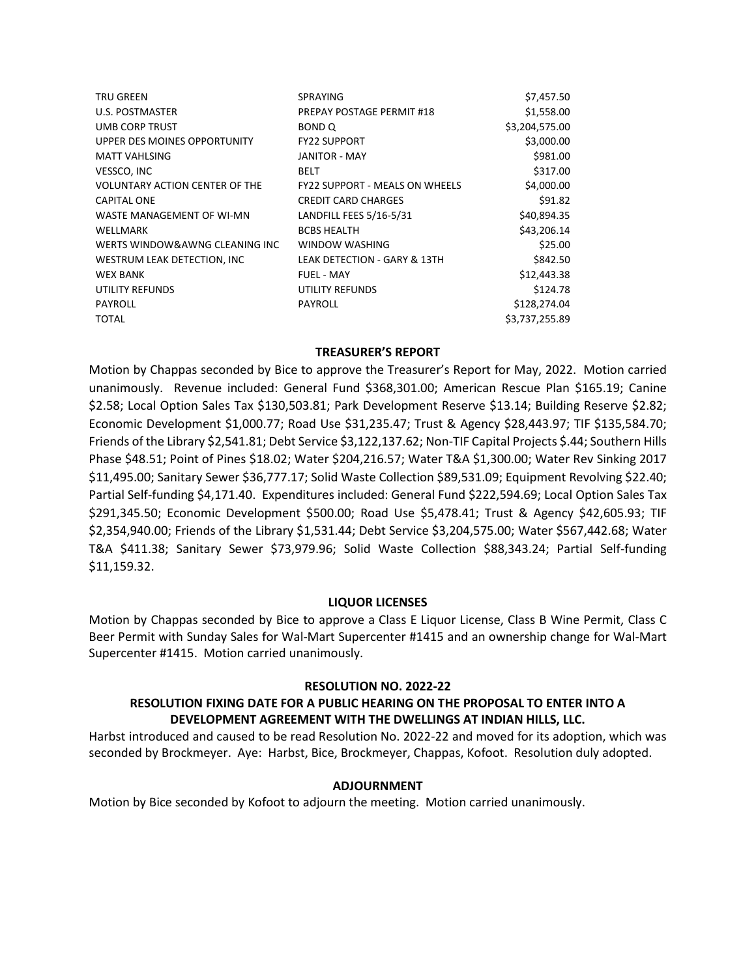| SPRAYING                              | \$7,457.50     |
|---------------------------------------|----------------|
| PREPAY POSTAGE PERMIT #18             | \$1,558.00     |
| BOND Q                                | \$3,204,575.00 |
| <b>FY22 SUPPORT</b>                   | \$3,000.00     |
| <b>JANITOR - MAY</b>                  | \$981.00       |
| <b>BELT</b>                           | \$317.00       |
| <b>FY22 SUPPORT - MEALS ON WHEELS</b> | \$4,000.00     |
| <b>CREDIT CARD CHARGES</b>            | \$91.82        |
| LANDFILL FEES 5/16-5/31               | \$40,894.35    |
| <b>BCBS HEALTH</b>                    | \$43,206.14    |
| WINDOW WASHING                        | \$25.00        |
| LEAK DETECTION - GARY & 13TH          | \$842.50       |
| <b>FUEL - MAY</b>                     | \$12,443.38    |
| UTILITY REFUNDS                       | \$124.78       |
| <b>PAYROLL</b>                        | \$128,274.04   |
|                                       | \$3,737,255.89 |
|                                       |                |

## **TREASURER'S REPORT**

Motion by Chappas seconded by Bice to approve the Treasurer's Report for May, 2022. Motion carried unanimously. Revenue included: General Fund \$368,301.00; American Rescue Plan \$165.19; Canine \$2.58; Local Option Sales Tax \$130,503.81; Park Development Reserve \$13.14; Building Reserve \$2.82; Economic Development \$1,000.77; Road Use \$31,235.47; Trust & Agency \$28,443.97; TIF \$135,584.70; Friends of the Library \$2,541.81; Debt Service \$3,122,137.62; Non-TIF Capital Projects \$.44; Southern Hills Phase \$48.51; Point of Pines \$18.02; Water \$204,216.57; Water T&A \$1,300.00; Water Rev Sinking 2017 \$11,495.00; Sanitary Sewer \$36,777.17; Solid Waste Collection \$89,531.09; Equipment Revolving \$22.40; Partial Self-funding \$4,171.40. Expenditures included: General Fund \$222,594.69; Local Option Sales Tax \$291,345.50; Economic Development \$500.00; Road Use \$5,478.41; Trust & Agency \$42,605.93; TIF \$2,354,940.00; Friends of the Library \$1,531.44; Debt Service \$3,204,575.00; Water \$567,442.68; Water T&A \$411.38; Sanitary Sewer \$73,979.96; Solid Waste Collection \$88,343.24; Partial Self-funding \$11,159.32.

#### **LIQUOR LICENSES**

Motion by Chappas seconded by Bice to approve a Class E Liquor License, Class B Wine Permit, Class C Beer Permit with Sunday Sales for Wal-Mart Supercenter #1415 and an ownership change for Wal-Mart Supercenter #1415. Motion carried unanimously.

#### **RESOLUTION NO. 2022-22**

# **RESOLUTION FIXING DATE FOR A PUBLIC HEARING ON THE PROPOSAL TO ENTER INTO A DEVELOPMENT AGREEMENT WITH THE DWELLINGS AT INDIAN HILLS, LLC.**

Harbst introduced and caused to be read Resolution No. 2022-22 and moved for its adoption, which was seconded by Brockmeyer. Aye: Harbst, Bice, Brockmeyer, Chappas, Kofoot. Resolution duly adopted.

#### **ADJOURNMENT**

Motion by Bice seconded by Kofoot to adjourn the meeting. Motion carried unanimously.